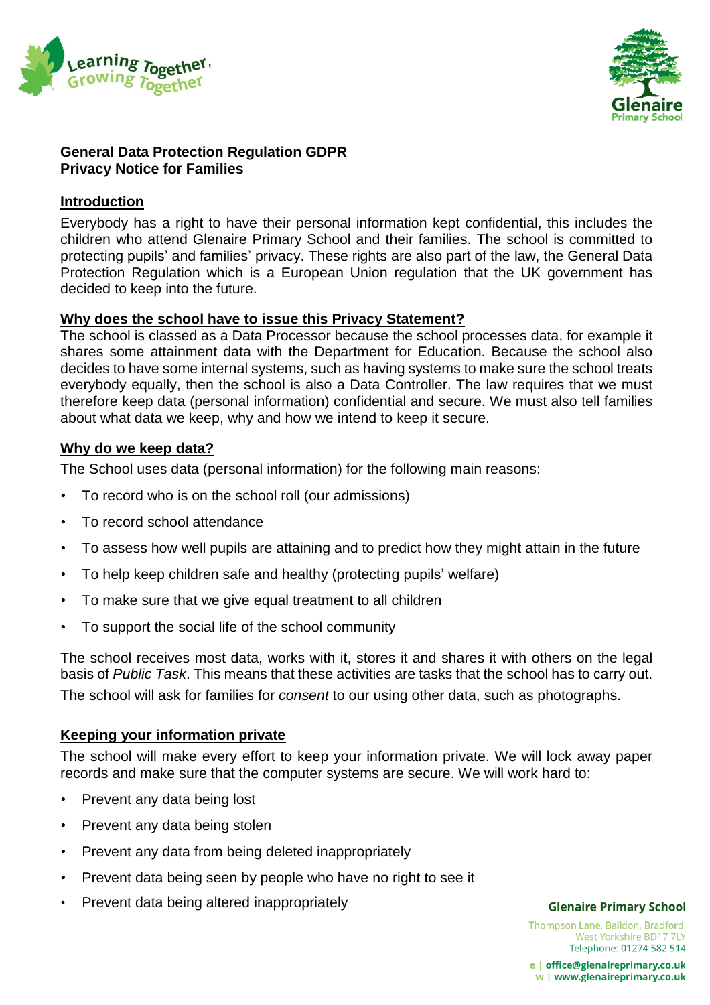



### **General Data Protection Regulation GDPR Privacy Notice for Families**

## **Introduction**

Everybody has a right to have their personal information kept confidential, this includes the children who attend Glenaire Primary School and their families. The school is committed to protecting pupils' and families' privacy. These rights are also part of the law, the General Data Protection Regulation which is a European Union regulation that the UK government has decided to keep into the future.

### **Why does the school have to issue this Privacy Statement?**

The school is classed as a Data Processor because the school processes data, for example it shares some attainment data with the Department for Education. Because the school also decides to have some internal systems, such as having systems to make sure the school treats everybody equally, then the school is also a Data Controller. The law requires that we must therefore keep data (personal information) confidential and secure. We must also tell families about what data we keep, why and how we intend to keep it secure.

### **Why do we keep data?**

The School uses data (personal information) for the following main reasons:

- To record who is on the school roll (our admissions)
- To record school attendance
- To assess how well pupils are attaining and to predict how they might attain in the future
- To help keep children safe and healthy (protecting pupils' welfare)
- To make sure that we give equal treatment to all children
- To support the social life of the school community

The school receives most data, works with it, stores it and shares it with others on the legal basis of *Public Task*. This means that these activities are tasks that the school has to carry out. The school will ask for families for *consent* to our using other data, such as photographs.

# **Keeping your information private**

The school will make every effort to keep your information private. We will lock away paper records and make sure that the computer systems are secure. We will work hard to:

- Prevent any data being lost
- Prevent any data being stolen
- Prevent any data from being deleted inappropriately
- Prevent data being seen by people who have no right to see it
- Prevent data being altered inappropriately

#### **Glenaire Primary School**

Thompson Lane, Baildon, Bradford, West Yorkshire BD17 7LY Telephone: 01274 582 514

e | office@glenaireprimary.co.uk w | www.glenaireprimary.co.uk